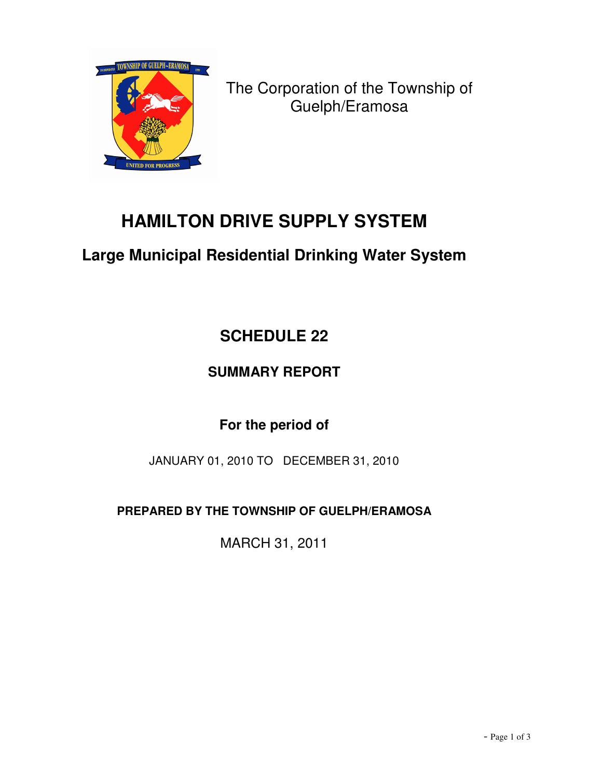

The Corporation of the Township of Guelph/Eramosa

# **HAMILTON DRIVE SUPPLY SYSTEM**

## **Large Municipal Residential Drinking Water System**

# **SCHEDULE 22**

### **SUMMARY REPORT**

### **For the period of**

JANUARY 01, 2010 TO DECEMBER 31, 2010

**PREPARED BY THE TOWNSHIP OF GUELPH/ERAMOSA**

MARCH 31, 2011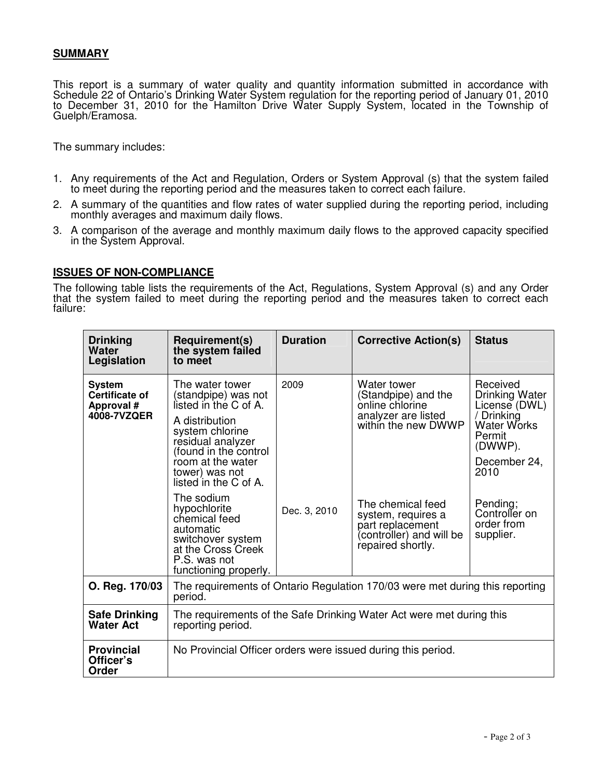#### **SUMMARY**

This report is a summary of water quality and quantity information submitted in accordance with Schedule 22 of Ontario's Drinking Water System regulation for the reporting period of January 01, 2010 to December 31, 2010 for the Hamilton Drive Water Supply System, located in the Township of Guelph/Eramosa.

The summary includes:

- 1. Any requirements of the Act and Regulation, Orders or System Approval (s) that the system failed to meet during the reporting period and the measures taken to correct each failure.
- 2. A summary of the quantities and flow rates of water supplied during the reporting period, including monthly averages and maximum daily flows.
- 3. A comparison of the average and monthly maximum daily flows to the approved capacity specified in the System Approval.

#### **ISSUES OF NON-COMPLIANCE**

The following table lists the requirements of the Act, Regulations, System Approval (s) and any Order that the system failed to meet during the reporting period and the measures taken to correct each failure:

| <b>Drinking</b><br>Water<br>Legislation                      | Requirement(s)<br>the system failed<br>to meet                                                                                                                                                                     | <b>Duration</b> | <b>Corrective Action(s)</b>                                                                                  | <b>Status</b>                                                                                                                |  |  |
|--------------------------------------------------------------|--------------------------------------------------------------------------------------------------------------------------------------------------------------------------------------------------------------------|-----------------|--------------------------------------------------------------------------------------------------------------|------------------------------------------------------------------------------------------------------------------------------|--|--|
| <b>System</b><br>Certificate of<br>Approval #<br>4008-7VZQER | The water tower<br>(standpipe) was not<br>listed in the C of A.<br>A distribution<br>system chlorine<br>residual analyzer<br>(found in the control<br>room at the water<br>tower) was not<br>listed in the C of A. | 2009            | Water tower<br>(Standpipe) and the<br>online chlorine<br>analyzer are listed<br>within the new DWWP          | Received<br>Drinking Water<br>License (DWL)<br>/ Drinking<br><b>Water Works</b><br>Permit<br>(DWWP).<br>December 24,<br>2010 |  |  |
|                                                              | The sodium<br>hypochlorite<br>chemical feed<br>automatic<br>switchover system<br>at the Cross Creek<br>P.S. was not<br>functioning properly.                                                                       | Dec. 3, 2010    | The chemical feed<br>system, requires a<br>part replacement<br>(controller) and will be<br>repaired shortly. | Pending;<br>Controller on<br>order from<br>supplier.                                                                         |  |  |
| O. Reg. 170/03                                               | The requirements of Ontario Regulation 170/03 were met during this reporting<br>period.                                                                                                                            |                 |                                                                                                              |                                                                                                                              |  |  |
| <b>Safe Drinking</b><br><b>Water Act</b>                     | The requirements of the Safe Drinking Water Act were met during this<br>reporting period.                                                                                                                          |                 |                                                                                                              |                                                                                                                              |  |  |
| <b>Provincial</b><br>Officer's<br>Order                      | No Provincial Officer orders were issued during this period.                                                                                                                                                       |                 |                                                                                                              |                                                                                                                              |  |  |